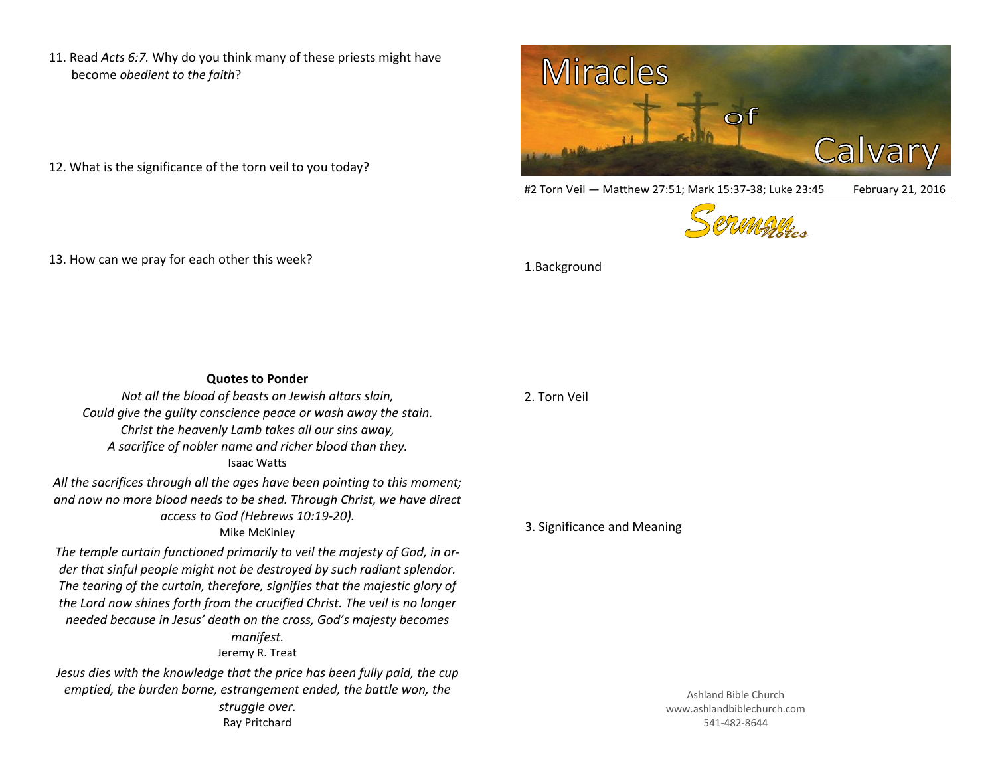11. Read *Acts 6:7.* Why do you think many of these priests might have become *obedient to the faith*?

- 12. What is the significance of the torn veil to you today?
- 13. How can we pray for each other this week?



#2 Torn Veil - Matthew 27:51; Mark 15:37-38; Luke 23:45 February 21, 2016



1.Background

| <b>Quotes to Ponder</b>                                                                                                                                                                                                                                                                                                                                                                                                  |                |
|--------------------------------------------------------------------------------------------------------------------------------------------------------------------------------------------------------------------------------------------------------------------------------------------------------------------------------------------------------------------------------------------------------------------------|----------------|
| Not all the blood of beasts on Jewish altars slain,<br>Could give the quilty conscience peace or wash away the stain.<br>Christ the heavenly Lamb takes all our sins away,<br>A sacrifice of nobler name and richer blood than they.<br><b>Isaac Watts</b>                                                                                                                                                               | 2. Torn Veil   |
| All the sacrifices through all the ages have been pointing to this moment;<br>and now no more blood needs to be shed. Through Christ, we have direct<br>access to God (Hebrews 10:19-20).<br>Mike McKinley                                                                                                                                                                                                               | 3. Significano |
| The temple curtain functioned primarily to veil the majesty of God, in or-<br>der that sinful people might not be destroyed by such radiant splendor.<br>The tearing of the curtain, therefore, signifies that the majestic glory of<br>the Lord now shines forth from the crucified Christ. The veil is no longer<br>needed because in Jesus' death on the cross, God's majesty becomes<br>manifest.<br>Jeremy R. Treat |                |
| Jesus dies with the knowledge that the price has been fully paid, the cup<br>emptied, the burden borne, estrangement ended, the battle won, the<br>struggle over.<br>Ray Pritchard                                                                                                                                                                                                                                       |                |

## ce and Meaning

Ashland Bible Church www.ashlandbiblechurch.com 541-482-8644